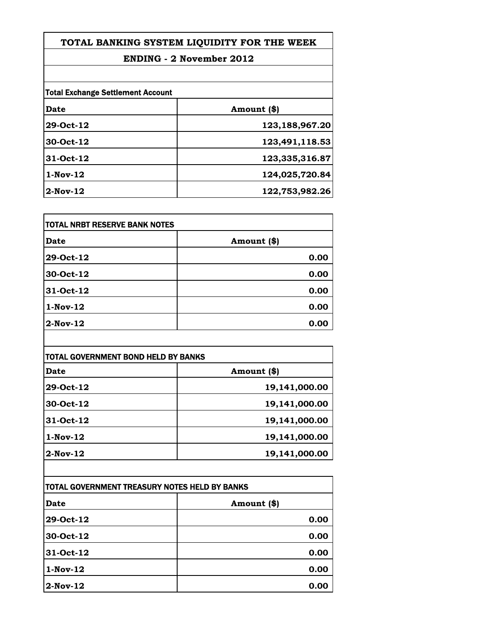## **ENDING - 2 November 2012**

|            | <b>Total Exchange Settlement Account</b> |  |
|------------|------------------------------------------|--|
| Date       | Amount (\$)                              |  |
| 29-Oct-12  | 123,188,967.20                           |  |
| 30-Oct-12  | 123,491,118.53                           |  |
| 31-Oct-12  | 123,335,316.87                           |  |
| $1-Nov-12$ | 124,025,720.84                           |  |
| $2-Nov-12$ | 122,753,982.26                           |  |

| TOTAL NRBT RESERVE BANK NOTES |             |
|-------------------------------|-------------|
| Date                          | Amount (\$) |
| 29-Oct-12                     | 0.00        |
| 30-Oct-12                     | 0.00        |
| 31-Oct-12                     | 0.00        |
| $1-Nov-12$                    | 0.00        |
| $2$ -Nov-12                   | 0.00        |

| TOTAL GOVERNMENT BOND HELD BY BANKS |               |
|-------------------------------------|---------------|
| Date                                | Amount (\$)   |
| 29-Oct-12                           | 19,141,000.00 |
| 30-Oct-12                           | 19,141,000.00 |
| 31-Oct-12                           | 19,141,000.00 |
| $1-Nov-12$                          | 19,141,000.00 |
| $2$ -Nov-12                         | 19,141,000.00 |

| ITOTAL GOVERNMENT TREASURY NOTES HELD BY BANKS |             |
|------------------------------------------------|-------------|
| Date                                           | Amount (\$) |
| 29-Oct-12                                      | 0.00        |
| 30-Oct-12                                      | 0.00        |
| 31-Oct-12                                      | 0.00        |
| $1-Nov-12$                                     | 0.00        |
| $2-Nov-12$                                     | 0.00        |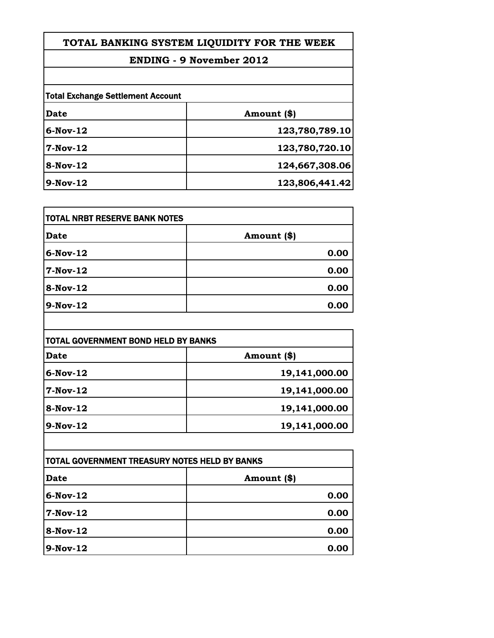## **ENDING - 9 November 2012**

| <b>Total Exchange Settlement Account</b> |                |
|------------------------------------------|----------------|
| Date                                     | Amount (\$)    |
| $6-Nov-12$                               | 123,780,789.10 |
| $7-Nov-12$                               | 123,780,720.10 |
| $8-Nov-12$                               | 124,667,308.06 |
| $9-Nov-12$                               | 123,806,441.42 |

| <b>TOTAL NRBT RESERVE BANK NOTES</b> |             |
|--------------------------------------|-------------|
| Date                                 | Amount (\$) |
| $6-Nov-12$                           | 0.00        |
| <b>7-Nov-12</b>                      | 0.00        |
| <b>8-Nov-12</b>                      | 0.00        |
| 9-Nov-12                             | 0.00        |

| TOTAL GOVERNMENT BOND HELD BY BANKS |               |
|-------------------------------------|---------------|
| Date                                | Amount (\$)   |
| $6-Nov-12$                          | 19,141,000.00 |
| 7-Nov-12                            | 19,141,000.00 |
| 8-Nov-12                            | 19,141,000.00 |
| $9-Nov-12$                          | 19,141,000.00 |

| <b>TOTAL GOVERNMENT TREASURY NOTES HELD BY BANKS</b> |             |
|------------------------------------------------------|-------------|
| Date                                                 | Amount (\$) |
| $6-Nov-12$                                           | 0.00        |
| $7-Nov-12$                                           | 0.00        |
| $8-Nov-12$                                           | 0.00        |
| 9-Nov-12                                             | 0.00        |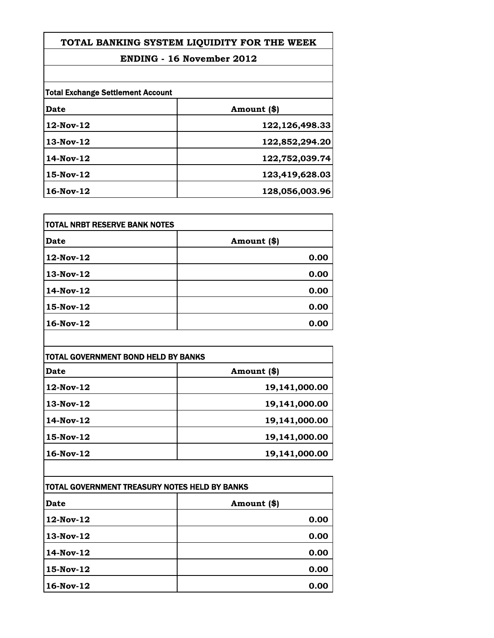## **ENDING - 16 November 2012**

| <b>Total Exchange Settlement Account</b> |                |
|------------------------------------------|----------------|
| Date                                     | Amount (\$)    |
| $12$ -Nov- $12$                          | 122,126,498.33 |
| $13-Nov-12$                              | 122,852,294.20 |
| $14$ -Nov- $12$                          | 122,752,039.74 |
| $15-Nov-12$                              | 123,419,628.03 |
| $16$ -Nov- $12$                          | 128,056,003.96 |

| TOTAL NRBT RESERVE BANK NOTES |             |
|-------------------------------|-------------|
| Date                          | Amount (\$) |
| 12-Nov-12                     | 0.00        |
| 13-Nov-12                     | 0.00        |
| 14-Nov-12                     | 0.00        |
| 15-Nov-12                     | 0.00        |
| 16-Nov-12                     | 0.00        |

| TOTAL GOVERNMENT BOND HELD BY BANKS |               |
|-------------------------------------|---------------|
| Date                                | Amount (\$)   |
| $12$ -Nov- $12$                     | 19,141,000.00 |
| $13-Nov-12$                         | 19,141,000.00 |
| $14$ -Nov- $12$                     | 19,141,000.00 |
| $15-Nov-12$                         | 19,141,000.00 |
| $16$ -Nov- $12$                     | 19,141,000.00 |

| TOTAL GOVERNMENT TREASURY NOTES HELD BY BANKS |             |
|-----------------------------------------------|-------------|
| Date                                          | Amount (\$) |
| 12-Nov-12                                     | 0.00        |
| $13-Nov-12$                                   | 0.00        |
| $14$ -Nov- $12$                               | 0.00        |
| 15-Nov-12                                     | 0.00        |
| $16$ -Nov- $12$                               | 0.00        |